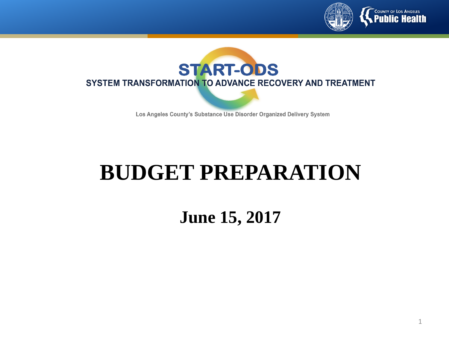



Los Angeles County's Substance Use Disorder Organized Delivery System

## **BUDGET PREPARATION**

**June 15, 2017**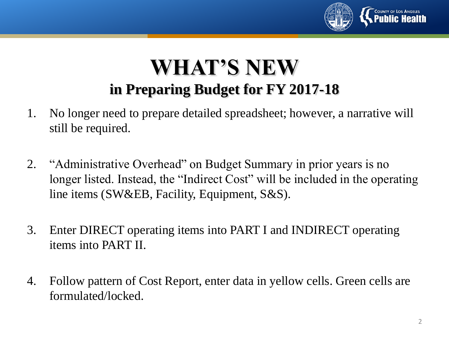

#### **WHAT'S NEW in Preparing Budget for FY 2017-18**

- 1. No longer need to prepare detailed spreadsheet; however, a narrative will still be required.
- 2. "Administrative Overhead" on Budget Summary in prior years is no longer listed. Instead, the "Indirect Cost" will be included in the operating line items (SW&EB, Facility, Equipment, S&S).
- 3. Enter DIRECT operating items into PART I and INDIRECT operating items into PART II.
- 4. Follow pattern of Cost Report, enter data in yellow cells. Green cells are formulated/locked.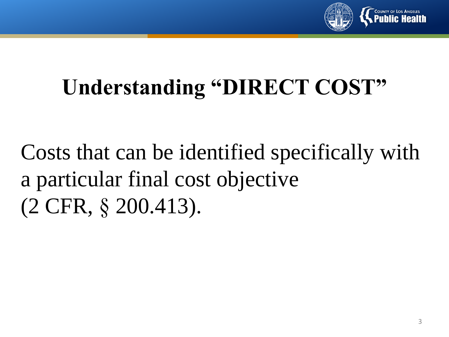

# **Understanding "DIRECT COST"**

Costs that can be identified specifically with a particular final cost objective (2 CFR, § 200.413).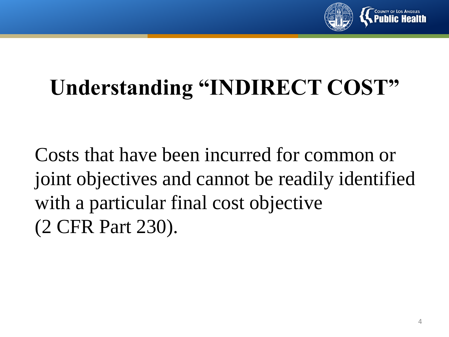

## **Understanding "INDIRECT COST"**

Costs that have been incurred for common or joint objectives and cannot be readily identified with a particular final cost objective (2 CFR Part 230).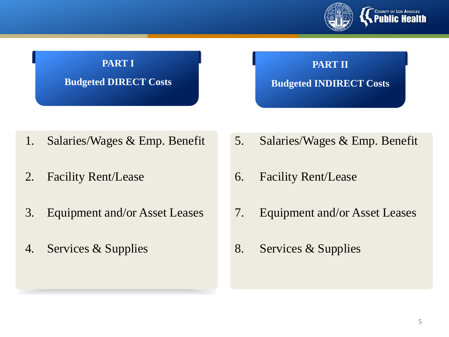

### **PART I Budgeted DIRECT Costs**

#### **PART II Budgeted INDIRECT Costs**

- 1. Salaries/Wages & Emp. Benefit
- 2. Facility Rent/Lease
- 3. Equipment and/or Asset Leases
- 4. Services & Supplies
- 5. Salaries/Wages & Emp. Benefit
- 6. Facility Rent/Lease
- 7. Equipment and/or Asset Leases
- 8. Services & Supplies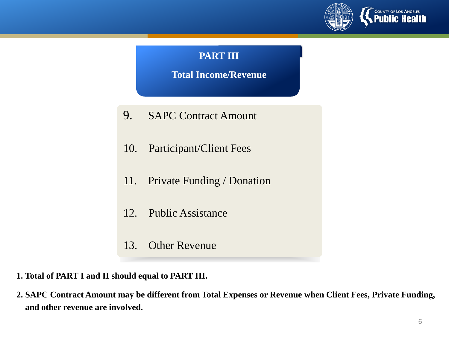

#### **PART III**

**Total Income/Revenue**

- 9. SAPC Contract Amount
- 10. Participant/Client Fees
- 11. Private Funding / Donation
- 12. Public Assistance
- 13. Other Revenue
- **1. Total of PART I and II should equal to PART III.**
- **2. SAPC Contract Amount may be different from Total Expenses or Revenue when Client Fees, Private Funding, and other revenue are involved.**